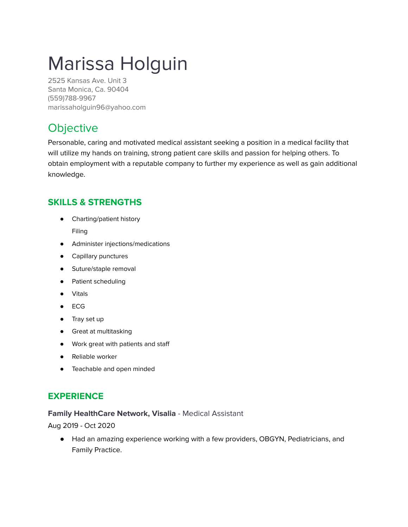# Marissa Holguin

2525 Kansas Ave. Unit 3 Santa Monica, Ca. 90404 (559)788-9967 marissaholguin96@yahoo.com

# **Objective**

Personable, caring and motivated medical assistant seeking a position in a medical facility that will utilize my hands on training, strong patient care skills and passion for helping others. To obtain employment with a reputable company to further my experience as well as gain additional knowledge.

## **SKILLS & STRENGTHS**

● Charting/patient history

Filing

- Administer injections/medications
- Capillary punctures
- Suture/staple removal
- Patient scheduling
- Vitals
- ECG
- Tray set up
- Great at multitasking
- Work great with patients and staff
- Reliable worker
- Teachable and open minded

### **EXPERIENCE**

#### **Family HealthCare Network, Visalia** - Medical Assistant

Aug 2019 - Oct 2020

● Had an amazing experience working with a few providers, OBGYN, Pediatricians, and Family Practice.